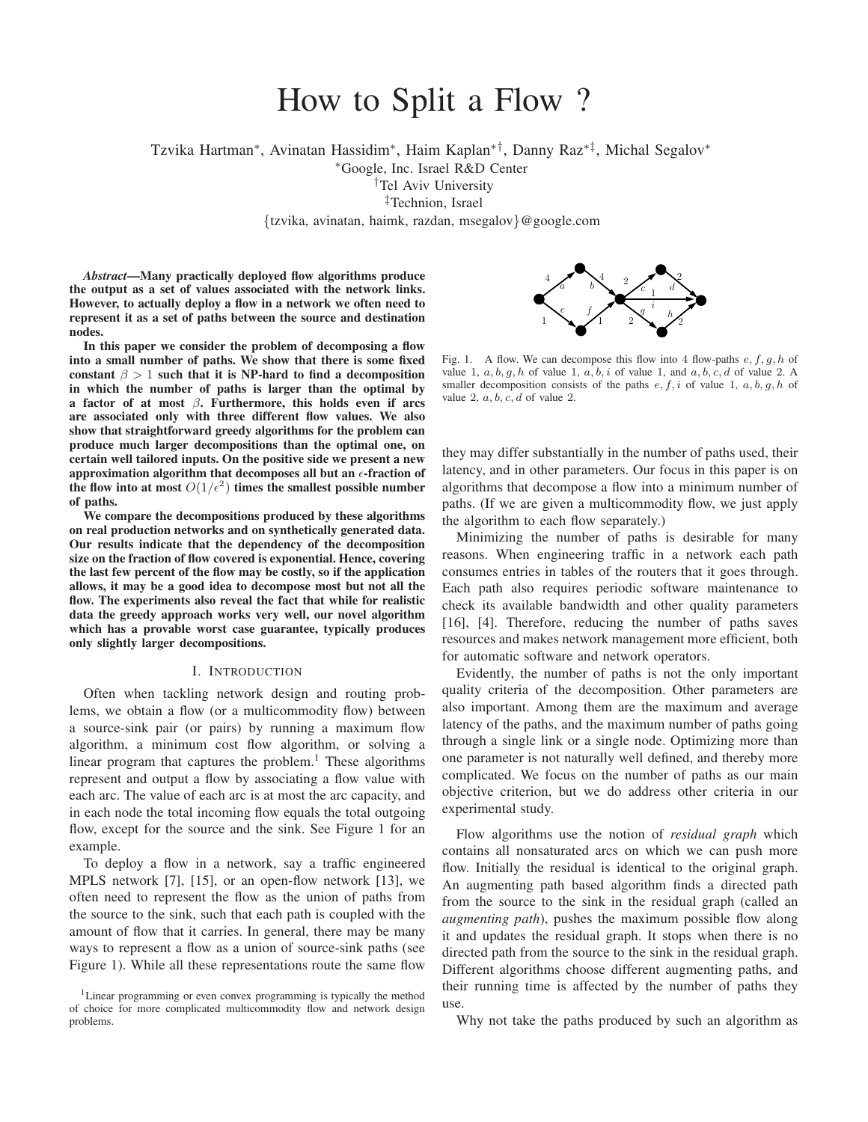# How to Split a Flow ?

Tzvika Hartman<sup>∗</sup> , Avinatan Hassidim<sup>∗</sup> , Haim Kaplan∗†, Danny Raz∗‡, Michal Segalov<sup>∗</sup>

<sup>∗</sup>Google, Inc. Israel R&D Center

†Tel Aviv University

‡Technion, Israel

{tzvika, avinatan, haimk, razdan, msegalov}@google.com

*Abstract***—Many practically deployed flow algorithms produce the output as a set of values associated with the network links. However, to actually deploy a flow in a network we often need to represent it as a set of paths between the source and destination nodes.**

**In this paper we consider the problem of decomposing a flow into a small number of paths. We show that there is some fixed constant**  $\beta > 1$  **such that it is NP-hard to find a decomposition in which the number of paths is larger than the optimal by a factor of at most** β**. Furthermore, this holds even if arcs are associated only with three different flow values. We also show that straightforward greedy algorithms for the problem can produce much larger decompositions than the optimal one, on certain well tailored inputs. On the positive side we present a new** approximation algorithm that decomposes all but an  $\epsilon$ -fraction of the flow into at most  $O(1/\epsilon^2)$  times the smallest possible number **of paths.**

**We compare the decompositions produced by these algorithms on real production networks and on synthetically generated data. Our results indicate that the dependency of the decomposition size on the fraction of flow covered is exponential. Hence, covering the last few percent of the flow may be costly, so if the application allows, it may be a good idea to decompose most but not all the flow. The experiments also reveal the fact that while for realistic data the greedy approach works very well, our novel algorithm which has a provable worst case guarantee, typically produces only slightly larger decompositions.**

### I. INTRODUCTION

Often when tackling network design and routing problems, we obtain a flow (or a multicommodity flow) between a source-sink pair (or pairs) by running a maximum flow algorithm, a minimum cost flow algorithm, or solving a linear program that captures the problem.<sup>1</sup> These algorithms represent and output a flow by associating a flow value with each arc. The value of each arc is at most the arc capacity, and in each node the total incoming flow equals the total outgoing flow, except for the source and the sink. See Figure 1 for an example.

To deploy a flow in a network, say a traffic engineered MPLS network [7], [15], or an open-flow network [13], we often need to represent the flow as the union of paths from the source to the sink, such that each path is coupled with the amount of flow that it carries. In general, there may be many ways to represent a flow as a union of source-sink paths (see Figure 1). While all these representations route the same flow



Fig. 1. A flow. We can decompose this flow into 4 flow-paths  $e, f, g, h$  of value 1,  $a, b, g, h$  of value 1,  $a, b, i$  of value 1, and  $a, b, c, d$  of value 2. A smaller decomposition consists of the paths  $e, f, i$  of value 1,  $a, b, g, h$  of value 2,  $a, b, c, d$  of value 2.

they may differ substantially in the number of paths used, their latency, and in other parameters. Our focus in this paper is on algorithms that decompose a flow into a minimum number of paths. (If we are given a multicommodity flow, we just apply the algorithm to each flow separately.)

Minimizing the number of paths is desirable for many reasons. When engineering traffic in a network each path consumes entries in tables of the routers that it goes through. Each path also requires periodic software maintenance to check its available bandwidth and other quality parameters [16], [4]. Therefore, reducing the number of paths saves resources and makes network management more efficient, both for automatic software and network operators.

Evidently, the number of paths is not the only important quality criteria of the decomposition. Other parameters are also important. Among them are the maximum and average latency of the paths, and the maximum number of paths going through a single link or a single node. Optimizing more than one parameter is not naturally well defined, and thereby more complicated. We focus on the number of paths as our main objective criterion, but we do address other criteria in our experimental study.

Flow algorithms use the notion of *residual graph* which contains all nonsaturated arcs on which we can push more flow. Initially the residual is identical to the original graph. An augmenting path based algorithm finds a directed path from the source to the sink in the residual graph (called an *augmenting path*), pushes the maximum possible flow along it and updates the residual graph. It stops when there is no directed path from the source to the sink in the residual graph. Different algorithms choose different augmenting paths, and their running time is affected by the number of paths they use.

Why not take the paths produced by such an algorithm as

<sup>&</sup>lt;sup>1</sup>Linear programming or even convex programming is typically the method of choice for more complicated multicommodity flow and network design problems.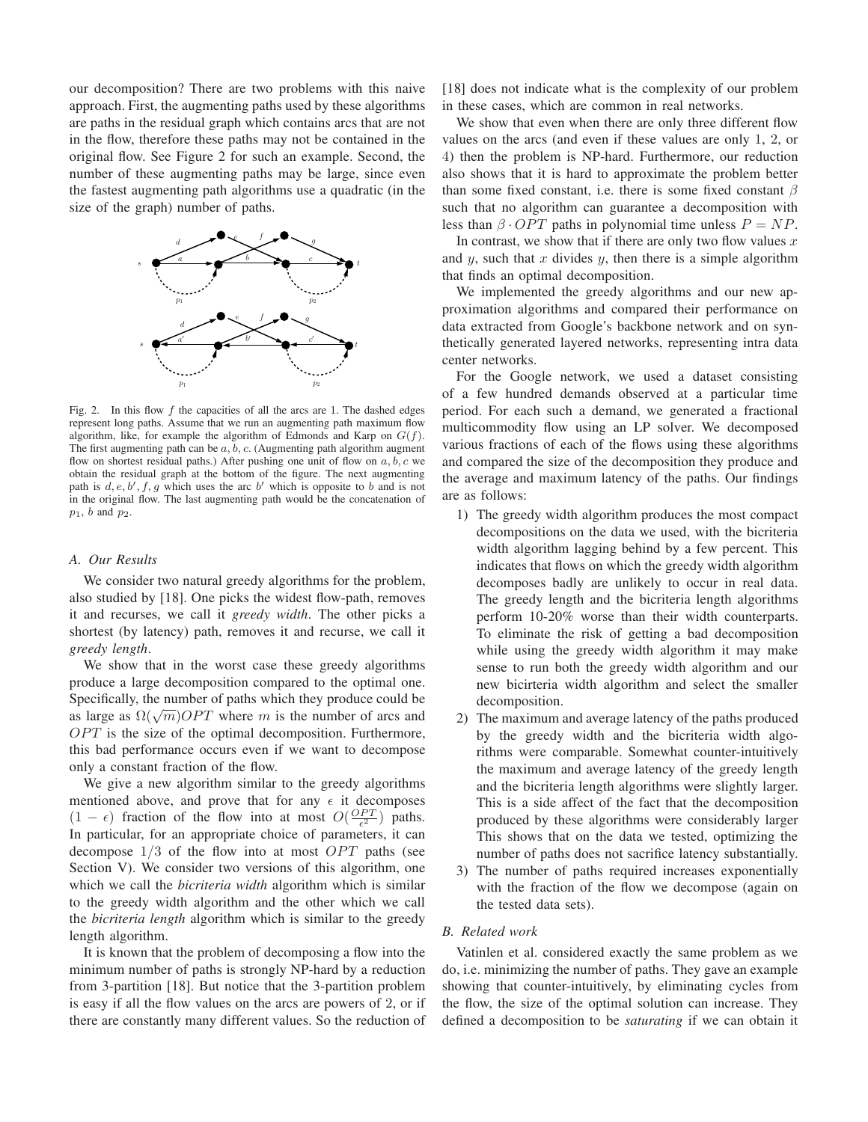our decomposition? There are two problems with this naive approach. First, the augmenting paths used by these algorithms are paths in the residual graph which contains arcs that are not in the flow, therefore these paths may not be contained in the original flow. See Figure 2 for such an example. Second, the number of these augmenting paths may be large, since even the fastest augmenting path algorithms use a quadratic (in the size of the graph) number of paths.



Fig. 2. In this flow  $f$  the capacities of all the arcs are 1. The dashed edges represent long paths. Assume that we run an augmenting path maximum flow algorithm, like, for example the algorithm of Edmonds and Karp on  $G(f)$ . The first augmenting path can be  $a, b, c$ . (Augmenting path algorithm augment flow on shortest residual paths.) After pushing one unit of flow on  $a, b, c$  we obtain the residual graph at the bottom of the figure. The next augmenting path is  $d, e, b', f, g$  which uses the arc  $b'$  which is opposite to b and is not in the original flow. The last augmenting path would be the concatenation of  $p_1$ , b and  $p_2$ .

#### *A. Our Results*

We consider two natural greedy algorithms for the problem, also studied by [18]. One picks the widest flow-path, removes it and recurses, we call it *greedy width*. The other picks a shortest (by latency) path, removes it and recurse, we call it *greedy length*.

We show that in the worst case these greedy algorithms produce a large decomposition compared to the optimal one. Specifically, the number of paths which they produce could be as large as  $\Omega(\sqrt{m})$ OPT where m is the number of arcs and  $OPT$  is the size of the optimal decomposition. Furthermore, this bad performance occurs even if we want to decompose only a constant fraction of the flow.

We give a new algorithm similar to the greedy algorithms mentioned above, and prove that for any  $\epsilon$  it decomposes  $(1 - \epsilon)$  fraction of the flow into at most  $O(\frac{OPT}{\epsilon^2})$  paths. In particular, for an appropriate choice of parameters, it can decompose  $1/3$  of the flow into at most  $OPT$  paths (see Section V). We consider two versions of this algorithm, one which we call the *bicriteria width* algorithm which is similar to the greedy width algorithm and the other which we call the *bicriteria length* algorithm which is similar to the greedy length algorithm.

It is known that the problem of decomposing a flow into the minimum number of paths is strongly NP-hard by a reduction from 3-partition [18]. But notice that the 3-partition problem is easy if all the flow values on the arcs are powers of 2, or if there are constantly many different values. So the reduction of

[18] does not indicate what is the complexity of our problem in these cases, which are common in real networks.

We show that even when there are only three different flow values on the arcs (and even if these values are only 1, 2, or 4) then the problem is NP-hard. Furthermore, our reduction also shows that it is hard to approximate the problem better than some fixed constant, i.e. there is some fixed constant  $\beta$ such that no algorithm can guarantee a decomposition with less than  $\beta$  · OPT paths in polynomial time unless  $P = NP$ .

In contrast, we show that if there are only two flow values  $x$ and y, such that x divides y, then there is a simple algorithm that finds an optimal decomposition.

We implemented the greedy algorithms and our new approximation algorithms and compared their performance on data extracted from Google's backbone network and on synthetically generated layered networks, representing intra data center networks.

For the Google network, we used a dataset consisting of a few hundred demands observed at a particular time period. For each such a demand, we generated a fractional multicommodity flow using an LP solver. We decomposed various fractions of each of the flows using these algorithms and compared the size of the decomposition they produce and the average and maximum latency of the paths. Our findings are as follows:

- 1) The greedy width algorithm produces the most compact decompositions on the data we used, with the bicriteria width algorithm lagging behind by a few percent. This indicates that flows on which the greedy width algorithm decomposes badly are unlikely to occur in real data. The greedy length and the bicriteria length algorithms perform 10-20% worse than their width counterparts. To eliminate the risk of getting a bad decomposition while using the greedy width algorithm it may make sense to run both the greedy width algorithm and our new bicirteria width algorithm and select the smaller decomposition.
- 2) The maximum and average latency of the paths produced by the greedy width and the bicriteria width algorithms were comparable. Somewhat counter-intuitively the maximum and average latency of the greedy length and the bicriteria length algorithms were slightly larger. This is a side affect of the fact that the decomposition produced by these algorithms were considerably larger This shows that on the data we tested, optimizing the number of paths does not sacrifice latency substantially.
- 3) The number of paths required increases exponentially with the fraction of the flow we decompose (again on the tested data sets).

# *B. Related work*

Vatinlen et al. considered exactly the same problem as we do, i.e. minimizing the number of paths. They gave an example showing that counter-intuitively, by eliminating cycles from the flow, the size of the optimal solution can increase. They defined a decomposition to be *saturating* if we can obtain it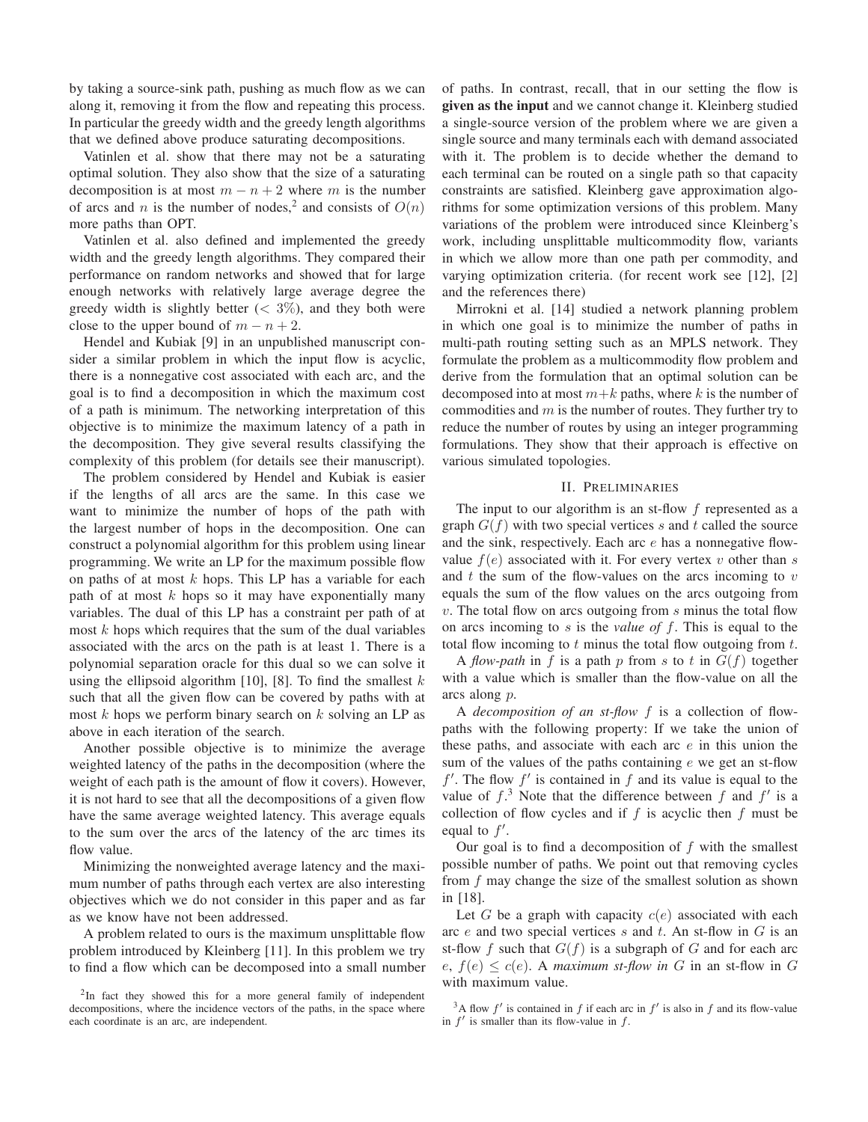by taking a source-sink path, pushing as much flow as we can along it, removing it from the flow and repeating this process. In particular the greedy width and the greedy length algorithms that we defined above produce saturating decompositions.

Vatinlen et al. show that there may not be a saturating optimal solution. They also show that the size of a saturating decomposition is at most  $m - n + 2$  where m is the number of arcs and n is the number of nodes,<sup>2</sup> and consists of  $O(n)$ more paths than OPT.

Vatinlen et al. also defined and implemented the greedy width and the greedy length algorithms. They compared their performance on random networks and showed that for large enough networks with relatively large average degree the greedy width is slightly better  $(< 3\%)$ , and they both were close to the upper bound of  $m - n + 2$ .

Hendel and Kubiak [9] in an unpublished manuscript consider a similar problem in which the input flow is acyclic, there is a nonnegative cost associated with each arc, and the goal is to find a decomposition in which the maximum cost of a path is minimum. The networking interpretation of this objective is to minimize the maximum latency of a path in the decomposition. They give several results classifying the complexity of this problem (for details see their manuscript).

The problem considered by Hendel and Kubiak is easier if the lengths of all arcs are the same. In this case we want to minimize the number of hops of the path with the largest number of hops in the decomposition. One can construct a polynomial algorithm for this problem using linear programming. We write an LP for the maximum possible flow on paths of at most  $k$  hops. This LP has a variable for each path of at most  $k$  hops so it may have exponentially many variables. The dual of this LP has a constraint per path of at most  $k$  hops which requires that the sum of the dual variables associated with the arcs on the path is at least 1. There is a polynomial separation oracle for this dual so we can solve it using the ellipsoid algorithm [10], [8]. To find the smallest  $k$ such that all the given flow can be covered by paths with at most  $k$  hops we perform binary search on  $k$  solving an LP as above in each iteration of the search.

Another possible objective is to minimize the average weighted latency of the paths in the decomposition (where the weight of each path is the amount of flow it covers). However, it is not hard to see that all the decompositions of a given flow have the same average weighted latency. This average equals to the sum over the arcs of the latency of the arc times its flow value.

Minimizing the nonweighted average latency and the maximum number of paths through each vertex are also interesting objectives which we do not consider in this paper and as far as we know have not been addressed.

A problem related to ours is the maximum unsplittable flow problem introduced by Kleinberg [11]. In this problem we try to find a flow which can be decomposed into a small number of paths. In contrast, recall, that in our setting the flow is **given as the input** and we cannot change it. Kleinberg studied a single-source version of the problem where we are given a single source and many terminals each with demand associated with it. The problem is to decide whether the demand to each terminal can be routed on a single path so that capacity constraints are satisfied. Kleinberg gave approximation algorithms for some optimization versions of this problem. Many variations of the problem were introduced since Kleinberg's work, including unsplittable multicommodity flow, variants in which we allow more than one path per commodity, and varying optimization criteria. (for recent work see [12], [2] and the references there)

Mirrokni et al. [14] studied a network planning problem in which one goal is to minimize the number of paths in multi-path routing setting such as an MPLS network. They formulate the problem as a multicommodity flow problem and derive from the formulation that an optimal solution can be decomposed into at most  $m+k$  paths, where k is the number of commodities and  $m$  is the number of routes. They further try to reduce the number of routes by using an integer programming formulations. They show that their approach is effective on various simulated topologies.

#### II. PRELIMINARIES

The input to our algorithm is an st-flow  $f$  represented as a graph  $G(f)$  with two special vertices s and t called the source and the sink, respectively. Each arc e has a nonnegative flowvalue  $f(e)$  associated with it. For every vertex v other than s and  $t$  the sum of the flow-values on the arcs incoming to  $v$ equals the sum of the flow values on the arcs outgoing from  $v$ . The total flow on arcs outgoing from  $s$  minus the total flow on arcs incoming to s is the *value of* f. This is equal to the total flow incoming to  $t$  minus the total flow outgoing from  $t$ .

A *flow-path* in f is a path p from s to t in  $G(f)$  together with a value which is smaller than the flow-value on all the arcs along p.

A *decomposition of an st-flow* f is a collection of flowpaths with the following property: If we take the union of these paths, and associate with each arc  $e$  in this union the sum of the values of the paths containing  $e$  we get an st-flow  $f'$ . The flow  $f'$  is contained in  $f$  and its value is equal to the value of  $f^3$ . Note that the difference between f and  $f'$  is a collection of flow cycles and if  $f$  is acyclic then  $f$  must be equal to  $f'$ .

Our goal is to find a decomposition of  $f$  with the smallest possible number of paths. We point out that removing cycles from f may change the size of the smallest solution as shown in [18].

Let G be a graph with capacity  $c(e)$  associated with each arc  $e$  and two special vertices  $s$  and  $t$ . An st-flow in  $G$  is an st-flow f such that  $G(f)$  is a subgraph of G and for each arc e,  $f(e) \leq c(e)$ . A *maximum st-flow in* G in an st-flow in G with maximum value.

<sup>&</sup>lt;sup>2</sup>In fact they showed this for a more general family of independent decompositions, where the incidence vectors of the paths, in the space where each coordinate is an arc, are independent.

<sup>&</sup>lt;sup>3</sup>A flow  $f'$  is contained in f if each arc in  $f'$  is also in f and its flow-value in  $f'$  is smaller than its flow-value in  $f$ .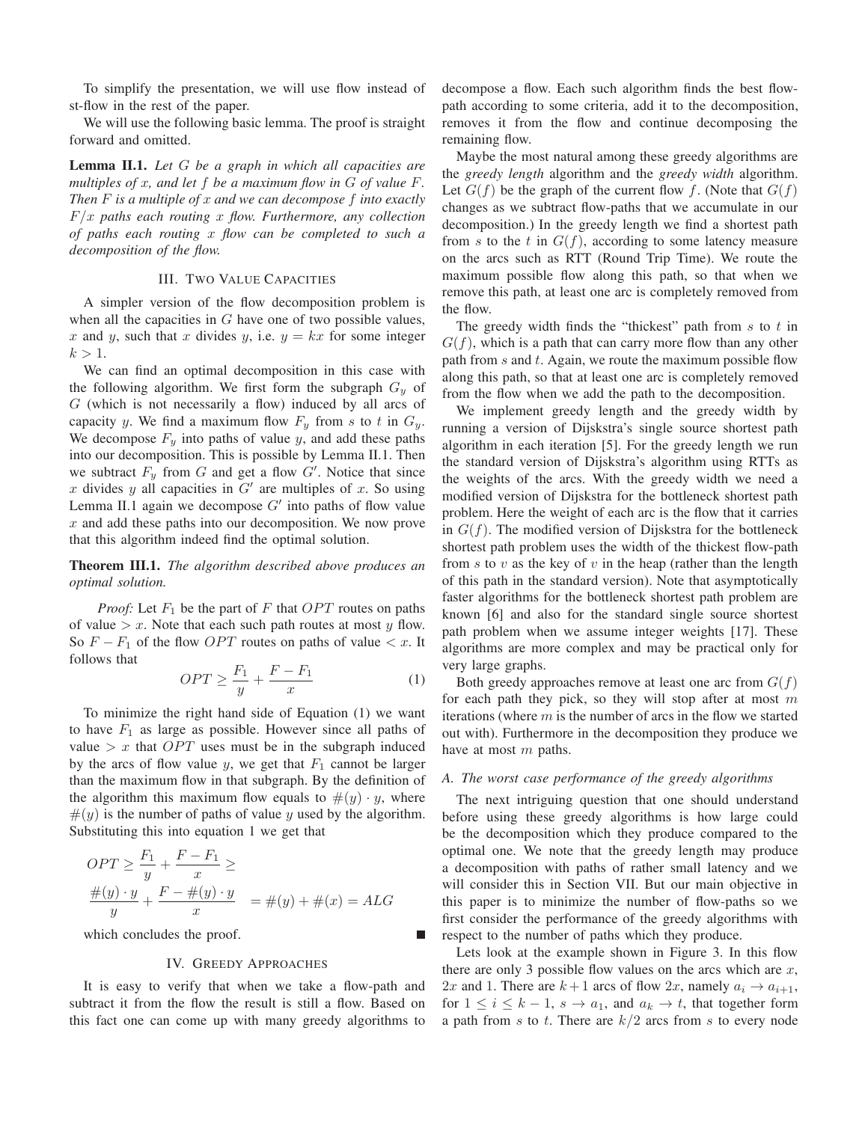To simplify the presentation, we will use flow instead of st-flow in the rest of the paper.

We will use the following basic lemma. The proof is straight forward and omitted.

**Lemma II.1.** *Let* G *be a graph in which all capacities are multiples of* x*, and let* f *be a maximum flow in* G *of value* F*. Then* F *is a multiple of* x *and we can decompose* f *into exactly* F/x *paths each routing* x *flow. Furthermore, any collection of paths each routing* x *flow can be completed to such a decomposition of the flow.*

## III. TWO VALUE CAPACITIES

A simpler version of the flow decomposition problem is when all the capacities in  $G$  have one of two possible values, x and y, such that x divides y, i.e.  $y = kx$  for some integer  $k > 1$ .

We can find an optimal decomposition in this case with the following algorithm. We first form the subgraph  $G_y$  of  $G$  (which is not necessarily a flow) induced by all arcs of capacity y. We find a maximum flow  $F_y$  from s to t in  $G_y$ . We decompose  $F_y$  into paths of value y, and add these paths into our decomposition. This is possible by Lemma II.1. Then we subtract  $F_y$  from G and get a flow G'. Notice that since x divides y all capacities in  $G'$  are multiples of x. So using Lemma II.1 again we decompose  $G'$  into paths of flow value  $x$  and add these paths into our decomposition. We now prove that this algorithm indeed find the optimal solution.

**Theorem III.1.** *The algorithm described above produces an optimal solution.*

*Proof:* Let  $F_1$  be the part of F that  $OPT$  routes on paths of value  $> x$ . Note that each such path routes at most y flow. So  $F - F_1$  of the flow *OPT* routes on paths of value  $\lt x$ . It follows that

$$
OPT \ge \frac{F_1}{y} + \frac{F - F_1}{x} \tag{1}
$$

To minimize the right hand side of Equation (1) we want to have  $F_1$  as large as possible. However since all paths of value  $> x$  that OPT uses must be in the subgraph induced by the arcs of flow value y, we get that  $F_1$  cannot be larger than the maximum flow in that subgraph. By the definition of the algorithm this maximum flow equals to  $\#(y) \cdot y$ , where  $\#(y)$  is the number of paths of value y used by the algorithm. Substituting this into equation 1 we get that

$$
OPT \ge \frac{F_1}{y} + \frac{F - F_1}{x} \ge
$$
  

$$
\frac{\#(y) \cdot y}{y} + \frac{F - \#(y) \cdot y}{x} = \#(y) + \#(x) = ALG
$$

which concludes the proof.

# IV. GREEDY APPROACHES

It is easy to verify that when we take a flow-path and subtract it from the flow the result is still a flow. Based on this fact one can come up with many greedy algorithms to decompose a flow. Each such algorithm finds the best flowpath according to some criteria, add it to the decomposition, removes it from the flow and continue decomposing the remaining flow.

Maybe the most natural among these greedy algorithms are the *greedy length* algorithm and the *greedy width* algorithm. Let  $G(f)$  be the graph of the current flow f. (Note that  $G(f)$ ) changes as we subtract flow-paths that we accumulate in our decomposition.) In the greedy length we find a shortest path from s to the t in  $G(f)$ , according to some latency measure on the arcs such as RTT (Round Trip Time). We route the maximum possible flow along this path, so that when we remove this path, at least one arc is completely removed from the flow.

The greedy width finds the "thickest" path from  $s$  to  $t$  in  $G(f)$ , which is a path that can carry more flow than any other path from  $s$  and  $t$ . Again, we route the maximum possible flow along this path, so that at least one arc is completely removed from the flow when we add the path to the decomposition.

We implement greedy length and the greedy width by running a version of Dijskstra's single source shortest path algorithm in each iteration [5]. For the greedy length we run the standard version of Dijskstra's algorithm using RTTs as the weights of the arcs. With the greedy width we need a modified version of Dijskstra for the bottleneck shortest path problem. Here the weight of each arc is the flow that it carries in  $G(f)$ . The modified version of Dijskstra for the bottleneck shortest path problem uses the width of the thickest flow-path from s to v as the key of v in the heap (rather than the length of this path in the standard version). Note that asymptotically faster algorithms for the bottleneck shortest path problem are known [6] and also for the standard single source shortest path problem when we assume integer weights [17]. These algorithms are more complex and may be practical only for very large graphs.

Both greedy approaches remove at least one arc from  $G(f)$ for each path they pick, so they will stop after at most  $m$ iterations (where  $m$  is the number of arcs in the flow we started out with). Furthermore in the decomposition they produce we have at most m paths.

# *A. The worst case performance of the greedy algorithms*

The next intriguing question that one should understand before using these greedy algorithms is how large could be the decomposition which they produce compared to the optimal one. We note that the greedy length may produce a decomposition with paths of rather small latency and we will consider this in Section VII. But our main objective in this paper is to minimize the number of flow-paths so we first consider the performance of the greedy algorithms with respect to the number of paths which they produce.

Lets look at the example shown in Figure 3. In this flow there are only 3 possible flow values on the arcs which are  $x$ , 2x and 1. There are  $k+1$  arcs of flow 2x, namely  $a_i \rightarrow a_{i+1}$ , for  $1 \leq i \leq k-1$ ,  $s \to a_1$ , and  $a_k \to t$ , that together form a path from s to t. There are  $k/2$  arcs from s to every node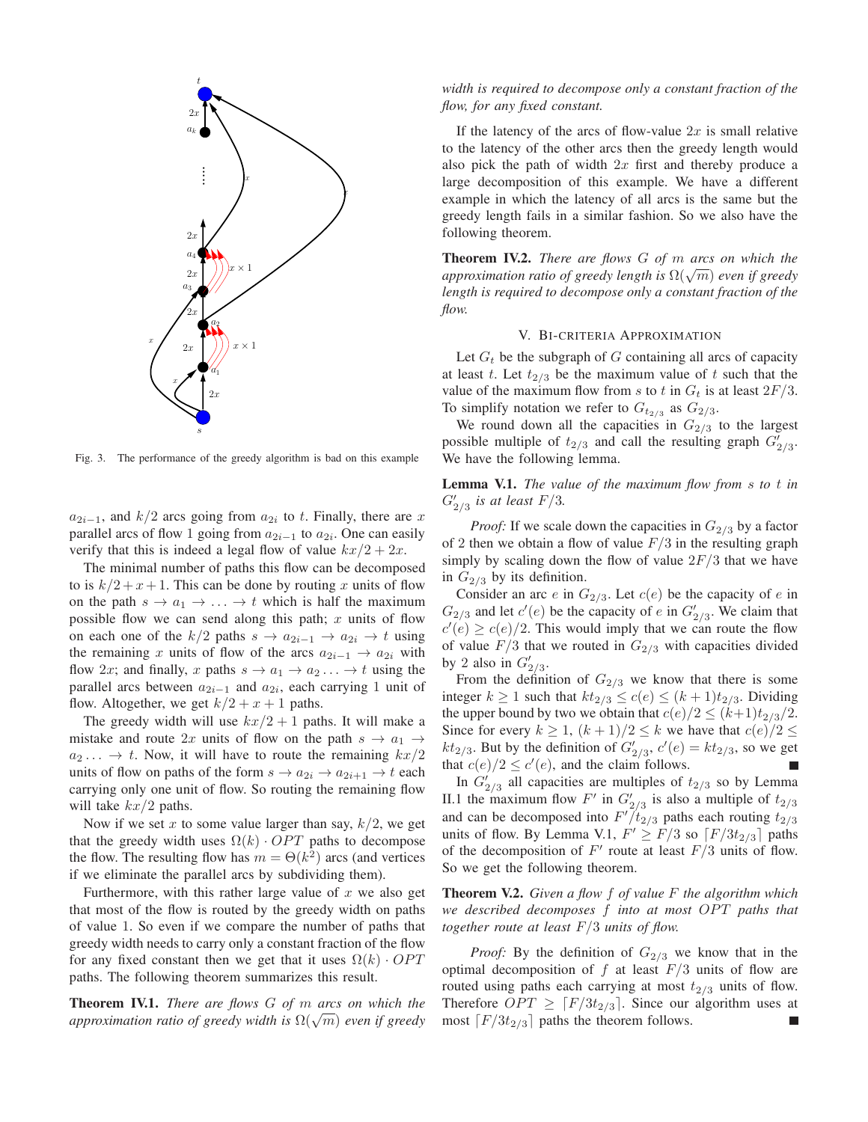

Fig. 3. The performance of the greedy algorithm is bad on this example

 $a_{2i-1}$ , and  $k/2$  arcs going from  $a_{2i}$  to t. Finally, there are x parallel arcs of flow 1 going from  $a_{2i-1}$  to  $a_{2i}$ . One can easily verify that this is indeed a legal flow of value  $kx/2 + 2x$ .

The minimal number of paths this flow can be decomposed to is  $k/2 + x + 1$ . This can be done by routing x units of flow on the path  $s \to a_1 \to \ldots \to t$  which is half the maximum possible flow we can send along this path;  $x$  units of flow on each one of the  $k/2$  paths  $s \to a_{2i-1} \to a_{2i} \to t$  using the remaining x units of flow of the arcs  $a_{2i-1} \rightarrow a_{2i}$  with flow 2x; and finally, x paths  $s \to a_1 \to a_2 \ldots \to t$  using the parallel arcs between  $a_{2i-1}$  and  $a_{2i}$ , each carrying 1 unit of flow. Altogether, we get  $k/2 + x + 1$  paths.

The greedy width will use  $kx/2 + 1$  paths. It will make a mistake and route 2x units of flow on the path  $s \to a_1 \to a_2$  $a_2 \ldots \rightarrow t$ . Now, it will have to route the remaining  $kx/2$ units of flow on paths of the form  $s \to a_{2i} \to a_{2i+1} \to t$  each carrying only one unit of flow. So routing the remaining flow will take  $kx/2$  paths.

Now if we set x to some value larger than say,  $k/2$ , we get that the greedy width uses  $\Omega(k) \cdot OPT$  paths to decompose the flow. The resulting flow has  $m = \Theta(k^2)$  arcs (and vertices if we eliminate the parallel arcs by subdividing them).

Furthermore, with this rather large value of  $x$  we also get that most of the flow is routed by the greedy width on paths of value 1. So even if we compare the number of paths that greedy width needs to carry only a constant fraction of the flow for any fixed constant then we get that it uses  $\Omega(k) \cdot OPT$ paths. The following theorem summarizes this result.

**Theorem IV.1.** *There are flows* G *of* m *arcs on which the approximation ratio of greedy width is* Ω(√ m) *even if greedy*

*width is required to decompose only a constant fraction of the flow, for any fixed constant.*

If the latency of the arcs of flow-value  $2x$  is small relative to the latency of the other arcs then the greedy length would also pick the path of width  $2x$  first and thereby produce a large decomposition of this example. We have a different example in which the latency of all arcs is the same but the greedy length fails in a similar fashion. So we also have the following theorem.

**Theorem IV.2.** *There are flows* G *of* m *arcs on which the approximation ratio of greedy length is* Ω(√ m) *even if greedy length is required to decompose only a constant fraction of the flow.*

#### V. BI-CRITERIA APPROXIMATION

Let  $G_t$  be the subgraph of G containing all arcs of capacity at least t. Let  $t_{2/3}$  be the maximum value of t such that the value of the maximum flow from s to t in  $G_t$  is at least  $2F/3$ . To simplify notation we refer to  $G_{t_{2/3}}$  as  $G_{2/3}$ .

We round down all the capacities in  $G_{2/3}$  to the largest possible multiple of  $t_{2/3}$  and call the resulting graph  $G_{2/3}'$ . We have the following lemma.

**Lemma V.1.** *The value of the maximum flow from* s *to* t *in*  $G'_{2/3}$  is at least  $F/3$ .

*Proof:* If we scale down the capacities in  $G_{2/3}$  by a factor of 2 then we obtain a flow of value  $F/3$  in the resulting graph simply by scaling down the flow of value  $2F/3$  that we have in  $G_{2/3}$  by its definition.

Consider an arc e in  $G_{2/3}$ . Let  $c(e)$  be the capacity of e in  $G_{2/3}$  and let  $c'(e)$  be the capacity of e in  $G'_{2/3}$ . We claim that  $c'(e) \geq c(e)/2$ . This would imply that we can route the flow of value  $F/3$  that we routed in  $G_{2/3}$  with capacities divided by 2 also in  $G'_{2/3}$ .

From the definition of  $G_{2/3}$  we know that there is some integer  $k \ge 1$  such that  $kt_{2/3} \le c(e) \le (k+1)t_{2/3}$ . Dividing the upper bound by two we obtain that  $c(e)/2 \leq (k+1)t_{2/3}/2$ . Since for every  $k \geq 1$ ,  $(k+1)/2 \leq k$  we have that  $c(e)/2 \leq$  $kt_{2/3}$ . But by the definition of  $G'_{2/3}$ ,  $c'(e) = kt_{2/3}$ , so we get that  $c(e)/2 \leq c'(e)$ , and the claim follows.

In  $G'_{2/3}$  all capacities are multiples of  $t_{2/3}$  so by Lemma II.1 the maximum flow F' in  $G'_{2/3}$  is also a multiple of  $t_{2/3}$ and can be decomposed into  $F/\tilde{t}_{2/3}$  paths each routing  $t_{2/3}$ units of flow. By Lemma V.1,  $F' \geq F/3$  so  $\lceil F/3t_{2/3} \rceil$  paths of the decomposition of  $F'$  route at least  $F/3$  units of flow. So we get the following theorem.

**Theorem V.2.** *Given a flow* f *of value* F *the algorithm which we described decomposes*  $f$  *into at most OPT paths that together route at least* F/3 *units of flow.*

*Proof:* By the definition of  $G_{2/3}$  we know that in the optimal decomposition of  $f$  at least  $F/3$  units of flow are routed using paths each carrying at most  $t_{2/3}$  units of flow. Therefore  $OPT \geq \lceil F/3t_{2/3} \rceil$ . Since our algorithm uses at most  $\lceil F/3t_{2/3}\rceil$  paths the theorem follows.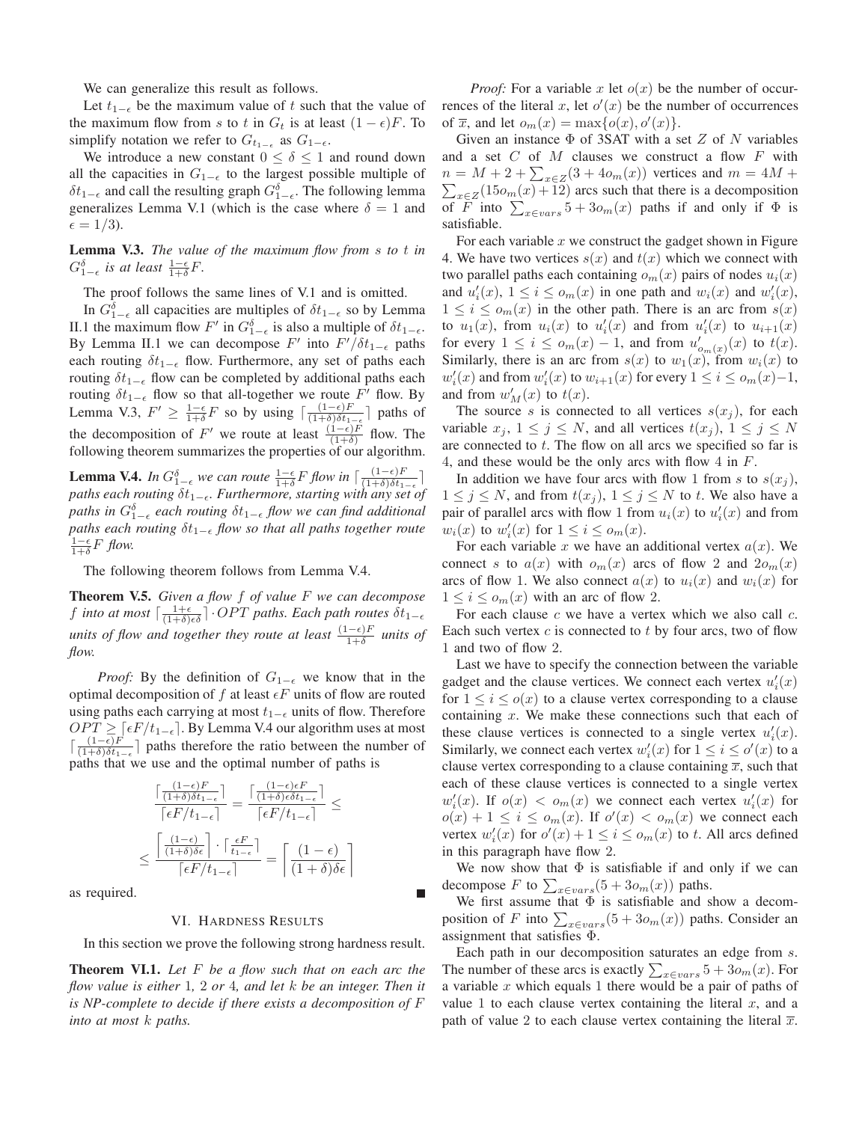We can generalize this result as follows.

Let  $t_{1-\epsilon}$  be the maximum value of t such that the value of the maximum flow from s to t in  $G_t$  is at least  $(1 - \epsilon)F$ . To simplify notation we refer to  $G_{t_{1-\epsilon}}$  as  $G_{1-\epsilon}$ .

We introduce a new constant  $0 \le \delta \le 1$  and round down all the capacities in  $G_{1-\epsilon}$  to the largest possible multiple of  $\delta t_{1-\epsilon}$  and call the resulting graph  $G_{1-\epsilon}^{\delta}$ . The following lemma generalizes Lemma V.1 (which is the case where  $\delta = 1$  and  $\epsilon = 1/3$ .

# **Lemma V.3.** *The value of the maximum flow from* s *to* t *in*  $G_{1-\epsilon}^{\delta}$  is at least  $\frac{1-\epsilon}{1+\delta}F$ .

The proof follows the same lines of V.1 and is omitted.

In  $G_{1-\epsilon}^{\delta}$  all capacities are multiples of  $\delta t_{1-\epsilon}$  so by Lemma II.1 the maximum flow F' in  $G_{1-\epsilon}^{\delta}$  is also a multiple of  $\delta t_{1-\epsilon}$ . By Lemma II.1 we can decompose  $F'$  into  $F'/\delta t_{1-\epsilon}$  paths each routing  $\delta t_{1-\epsilon}$  flow. Furthermore, any set of paths each routing  $\delta t_{1-\epsilon}$  flow can be completed by additional paths each routing  $\delta t_{1-\epsilon}$  flow so that all-together we route  $F'$  flow. By Lemma V.3,  $F' \geq \frac{1-\epsilon}{1+\delta} F$  so by using  $\lceil \frac{(1-\epsilon)F}{(1+\delta)\delta t_1} \rceil$  $\frac{(1-\epsilon)F}{(1+\delta)\delta t_{1-\epsilon}}$  paths of the decomposition of F' we route at least  $\frac{(1-\epsilon)F}{(1+\delta)}$  flow. The following theorem summarizes the properties of our algorithm.

**Lemma V.4.** *In*  $G_{1-\epsilon}^{\delta}$  *we can route*  $\frac{1-\epsilon}{1+\delta}F$  *flow in*  $\lceil \frac{(1-\epsilon)F}{(1+\delta)\delta t_1} \rceil$  $\frac{1}{(1+\delta)\delta t_{1-\epsilon}}$ *paths each routing* δt1−*. Furthermore, starting with any set of paths in*  $G$ <sup>δ</sup><sub>1− $\epsilon$ </sub> each routing δt<sub>1− $\epsilon$ </sub> flow we can find additional *paths each routing*  $δt_{1−ε}$  *flow so that all paths together route*  $\frac{1-\epsilon}{1+\delta}$ *F flow.* 

The following theorem follows from Lemma V.4.

**Theorem V.5.** *Given a flow* f *of value* F *we can decompose*  $f$  *into at most*  $\lceil \frac{1+\epsilon}{(1+\delta)\epsilon\delta} \rceil$  · OPT *paths. Each path routes*  $\delta t_{1-\epsilon}$ *units of flow and together they route at least*  $\frac{(1-\epsilon)F}{1+\delta}$  *units of flow.*

*Proof:* By the definition of  $G_{1-\epsilon}$  we know that in the optimal decomposition of f at least  $\epsilon F$  units of flow are routed using paths each carrying at most  $t_{1-\epsilon}$  units of flow. Therefore  $OPT \geq \lceil \epsilon F/t_{1-\epsilon} \rceil$ . By Lemma V.4 our algorithm uses at most  $\lceil \frac{(1-\overline{\epsilon})F}{(1+\delta)\delta t_1} \rceil$  $\frac{(1-\epsilon)F}{(1+\delta)\delta t_{1-\epsilon}}$  paths therefore the ratio between the number of paths that we use and the optimal number of paths is

$$
\frac{\lceil \frac{(1-\epsilon)F}{(1+\delta)\delta t_{1-\epsilon}} \rceil}{\lceil \epsilon F/t_{1-\epsilon} \rceil} = \frac{\lceil \frac{(1-\epsilon)\epsilon F}{(1+\delta)\epsilon \delta t_{1-\epsilon}} \rceil}{\lceil \epsilon F/t_{1-\epsilon} \rceil} \le
$$

$$
\leq \frac{\left\lceil \frac{(1-\epsilon)}{(1+\delta)\delta \epsilon} \right\rceil \cdot \lceil \frac{\epsilon F}{t_{1-\epsilon}} \rceil}{\lceil \epsilon F/t_{1-\epsilon} \rceil} = \left\lceil \frac{(1-\epsilon)}{(1+\delta)\delta \epsilon} \right\rceil
$$

as required.

### VI. HARDNESS RESULTS

In this section we prove the following strong hardness result.

**Theorem VI.1.** *Let* F *be a flow such that on each arc the flow value is either* 1*,* 2 *or* 4*, and let* k *be an integer. Then it is NP-complete to decide if there exists a decomposition of* F *into at most* k *paths.*

*Proof:* For a variable x let  $o(x)$  be the number of occurrences of the literal x, let  $o'(x)$  be the number of occurrences of  $\overline{x}$ , and let  $o_m(x) = \max\{o(x), o'(x)\}.$ 

Given an instance  $\Phi$  of 3SAT with a set Z of N variables and a set  $C$  of  $M$  clauses we construct a flow  $F$  with  $n = M + 2 + \sum_{x \in Z} (3 + 4\omega_m(x))$  vertices and  $m = 4M +$  $\sum_{x \in Z} (15o_m(x) + 12)$  arcs such that there is a decomposition of F into  $\sum_{x \in vars} 5 + 3o_m(x)$  paths if and only if  $\Phi$  is satisfiable.

For each variable  $x$  we construct the gadget shown in Figure 4. We have two vertices  $s(x)$  and  $t(x)$  which we connect with two parallel paths each containing  $o_m(x)$  pairs of nodes  $u_i(x)$ and  $u'_i(x)$ ,  $1 \le i \le o_m(x)$  in one path and  $w_i(x)$  and  $w'_i(x)$ ,  $1 \leq i \leq o_m(x)$  in the other path. There is an arc from  $s(x)$ to  $u_1(x)$ , from  $u_i(x)$  to  $u'_i(x)$  and from  $u'_i(x)$  to  $u_{i+1}(x)$ for every  $1 \leq i \leq o_m(x) - 1$ , and from  $u'_{o_m(x)}(x)$  to  $t(x)$ . Similarly, there is an arc from  $s(x)$  to  $w_1(x)$ , from  $w_i(x)$  to  $w'_i(x)$  and from  $w'_i(x)$  to  $w_{i+1}(x)$  for every  $1 \le i \le o_m(x)-1$ , and from  $w'_M(x)$  to  $t(x)$ .

The source s is connected to all vertices  $s(x_j)$ , for each variable  $x_j$ ,  $1 \leq j \leq N$ , and all vertices  $t(x_j)$ ,  $1 \leq j \leq N$ are connected to  $t$ . The flow on all arcs we specified so far is 4, and these would be the only arcs with flow 4 in F.

In addition we have four arcs with flow 1 from s to  $s(x_i)$ ,  $1 \leq j \leq N$ , and from  $t(x_j)$ ,  $1 \leq j \leq N$  to t. We also have a pair of parallel arcs with flow 1 from  $u_i(x)$  to  $u'_i(x)$  and from  $w_i(x)$  to  $w'_i(x)$  for  $1 \leq i \leq o_m(x)$ .

For each variable x we have an additional vertex  $a(x)$ . We connect s to  $a(x)$  with  $o_m(x)$  arcs of flow 2 and  $2o_m(x)$ arcs of flow 1. We also connect  $a(x)$  to  $u_i(x)$  and  $w_i(x)$  for  $1 \leq i \leq o_m(x)$  with an arc of flow 2.

For each clause  $c$  we have a vertex which we also call  $c$ . Each such vertex  $c$  is connected to  $t$  by four arcs, two of flow 1 and two of flow 2.

Last we have to specify the connection between the variable gadget and the clause vertices. We connect each vertex  $u_i'(x)$ for  $1 \leq i \leq o(x)$  to a clause vertex corresponding to a clause containing  $x$ . We make these connections such that each of these clause vertices is connected to a single vertex  $u_i'(x)$ . Similarly, we connect each vertex  $w_i'(x)$  for  $1 \le i \le o'(x)$  to a clause vertex corresponding to a clause containing  $\overline{x}$ , such that each of these clause vertices is connected to a single vertex  $w_i'(x)$ . If  $o(x) < o_m(x)$  we connect each vertex  $u_i'(x)$  for  $o(x) + 1 \leq i \leq o_m(x)$ . If  $o'(x) < o_m(x)$  we connect each vertex  $w_i'(x)$  for  $o'(x) + 1 \le i \le o_m(x)$  to t. All arcs defined in this paragraph have flow 2.

We now show that  $\Phi$  is satisfiable if and only if we can decompose F to  $\sum_{x \in vars}(5 + 3o_m(x))$  paths.

We first assume that  $\Phi$  is satisfiable and show a decomposition of F into  $\sum_{x \in vars}(5 + 3o_m(x))$  paths. Consider an assignment that satisfies Φ.

Each path in our decomposition saturates an edge from s. The number of these arcs is exactly  $\sum_{x \in vars} 5 + 3o_m(x)$ . For a variable  $x$  which equals 1 there would be a pair of paths of value 1 to each clause vertex containing the literal  $x$ , and a path of value 2 to each clause vertex containing the literal  $\overline{x}$ .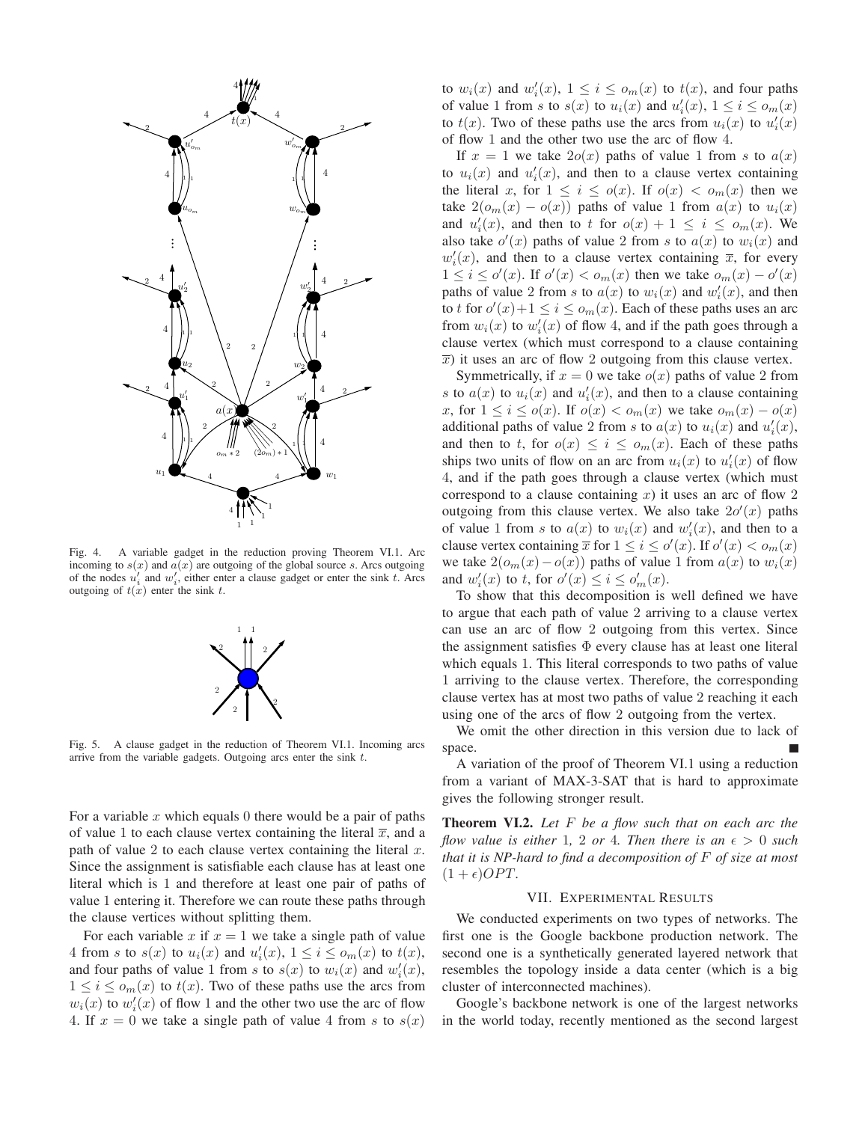

Fig. 4. A variable gadget in the reduction proving Theorem VI.1. Arc incoming to  $s(x)$  and  $a(x)$  are outgoing of the global source s. Arcs outgoing of the nodes  $u'_i$  and  $w'_i$ , either enter a clause gadget or enter the sink t. Arcs outgoing of  $t(x)$  enter the sink t.



Fig. 5. A clause gadget in the reduction of Theorem VI.1. Incoming arcs arrive from the variable gadgets. Outgoing arcs enter the sink t.

For a variable  $x$  which equals 0 there would be a pair of paths of value 1 to each clause vertex containing the literal  $\overline{x}$ , and a path of value 2 to each clause vertex containing the literal  $x$ . Since the assignment is satisfiable each clause has at least one literal which is 1 and therefore at least one pair of paths of value 1 entering it. Therefore we can route these paths through the clause vertices without splitting them.

For each variable x if  $x = 1$  we take a single path of value 4 from s to  $s(x)$  to  $u_i(x)$  and  $u'_i(x)$ ,  $1 \le i \le o_m(x)$  to  $t(x)$ , and four paths of value 1 from s to  $s(x)$  to  $w_i(x)$  and  $w'_i(x)$ ,  $1 \leq i \leq o_m(x)$  to  $t(x)$ . Two of these paths use the arcs from  $w_i(x)$  to  $w'_i(x)$  of flow 1 and the other two use the arc of flow 4. If  $x = 0$  we take a single path of value 4 from s to  $s(x)$ 

to  $w_i(x)$  and  $w'_i(x)$ ,  $1 \leq i \leq o_m(x)$  to  $t(x)$ , and four paths of value 1 from s to  $s(x)$  to  $u_i(x)$  and  $u'_i(x)$ ,  $1 \le i \le o_m(x)$ to  $t(x)$ . Two of these paths use the arcs from  $u_i(x)$  to  $u'_i(x)$ of flow 1 and the other two use the arc of flow 4.

If  $x = 1$  we take  $2o(x)$  paths of value 1 from s to  $a(x)$ to  $u_i(x)$  and  $u'_i(x)$ , and then to a clause vertex containing the literal x, for  $1 \leq i \leq o(x)$ . If  $o(x) < o_m(x)$  then we take  $2(o_m(x) - o(x))$  paths of value 1 from  $a(x)$  to  $u_i(x)$ and  $u'_i(x)$ , and then to t for  $o(x) + 1 \le i \le o_m(x)$ . We also take  $o'(x)$  paths of value 2 from s to  $a(x)$  to  $w_i(x)$  and  $w_i'(x)$ , and then to a clause vertex containing  $\overline{x}$ , for every  $1 \leq i \leq o'(x)$ . If  $o'(x) < o_m(x)$  then we take  $o_m(x) - o'(x)$ paths of value 2 from s to  $a(x)$  to  $w_i(x)$  and  $w'_i(x)$ , and then to t for  $o'(x)+1 \leq i \leq o_m(x)$ . Each of these paths uses an arc from  $w_i(x)$  to  $w'_i(x)$  of flow 4, and if the path goes through a clause vertex (which must correspond to a clause containing  $\overline{x}$ ) it uses an arc of flow 2 outgoing from this clause vertex.

Symmetrically, if  $x = 0$  we take  $o(x)$  paths of value 2 from s to  $a(x)$  to  $u_i(x)$  and  $u'_i(x)$ , and then to a clause containing x, for  $1 \leq i \leq o(x)$ . If  $o(x) < o_m(x)$  we take  $o_m(x) - o(x)$ additional paths of value 2 from s to  $a(x)$  to  $u_i(x)$  and  $u'_i(x)$ , and then to t, for  $o(x) \leq i \leq o_m(x)$ . Each of these paths ships two units of flow on an arc from  $u_i(x)$  to  $u'_i(x)$  of flow 4, and if the path goes through a clause vertex (which must correspond to a clause containing  $x$ ) it uses an arc of flow 2 outgoing from this clause vertex. We also take  $2o'(x)$  paths of value 1 from s to  $a(x)$  to  $w_i(x)$  and  $w'_i(x)$ , and then to a clause vertex containing  $\overline{x}$  for  $1 \leq i \leq o'(x)$ . If  $o'(x) < o_m(x)$ we take  $2(o_m(x) - o(x))$  paths of value 1 from  $a(x)$  to  $w_i(x)$ and  $w'_i(x)$  to t, for  $o'(x) \le i \le o'_m(x)$ .

To show that this decomposition is well defined we have to argue that each path of value 2 arriving to a clause vertex can use an arc of flow 2 outgoing from this vertex. Since the assignment satisfies  $\Phi$  every clause has at least one literal which equals 1. This literal corresponds to two paths of value 1 arriving to the clause vertex. Therefore, the corresponding clause vertex has at most two paths of value 2 reaching it each using one of the arcs of flow 2 outgoing from the vertex.

We omit the other direction in this version due to lack of space.

A variation of the proof of Theorem VI.1 using a reduction from a variant of MAX-3-SAT that is hard to approximate gives the following stronger result.

**Theorem VI.2.** *Let* F *be a flow such that on each arc the flow value is either* 1, 2 *or* 4*. Then there is an*  $\epsilon > 0$  *such that it is NP-hard to find a decomposition of* F *of size at most*  $(1 + \epsilon)OPT$ .

# VII. EXPERIMENTAL RESULTS

We conducted experiments on two types of networks. The first one is the Google backbone production network. The second one is a synthetically generated layered network that resembles the topology inside a data center (which is a big cluster of interconnected machines).

Google's backbone network is one of the largest networks in the world today, recently mentioned as the second largest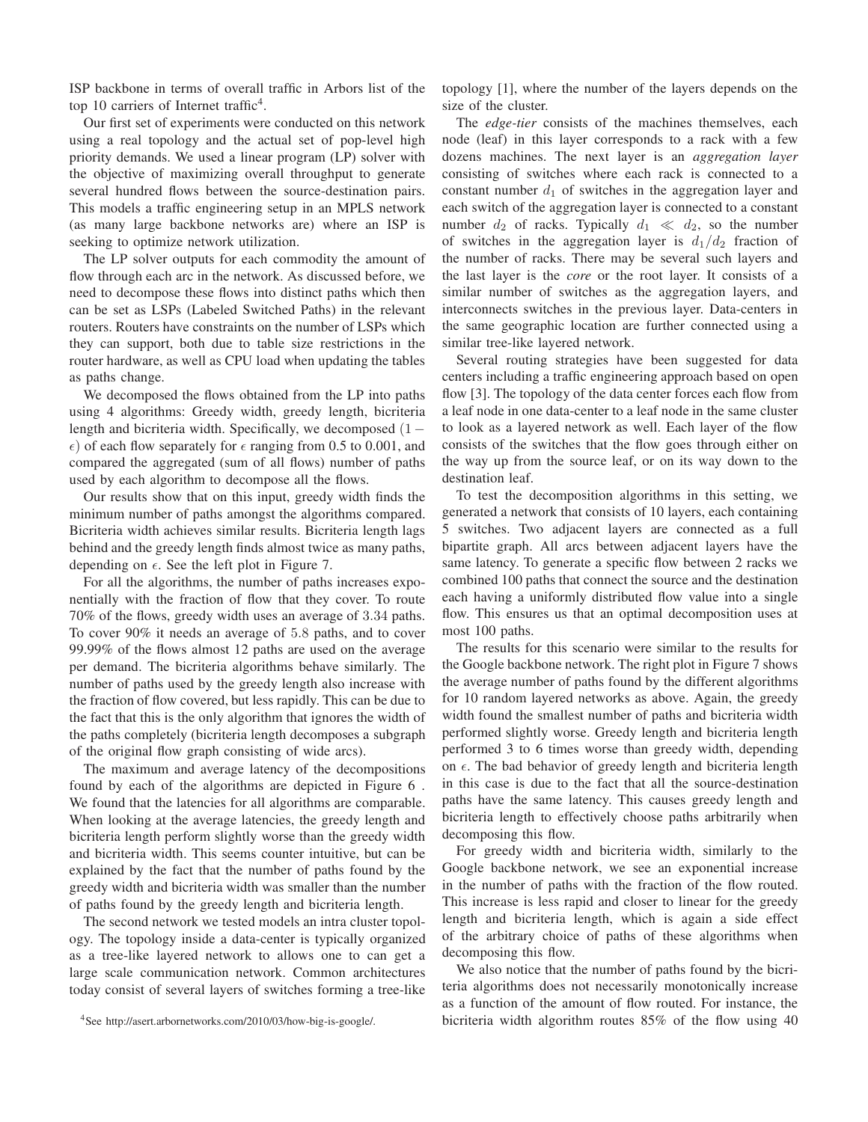ISP backbone in terms of overall traffic in Arbors list of the top 10 carriers of Internet traffic<sup>4</sup>.

Our first set of experiments were conducted on this network using a real topology and the actual set of pop-level high priority demands. We used a linear program (LP) solver with the objective of maximizing overall throughput to generate several hundred flows between the source-destination pairs. This models a traffic engineering setup in an MPLS network (as many large backbone networks are) where an ISP is seeking to optimize network utilization.

The LP solver outputs for each commodity the amount of flow through each arc in the network. As discussed before, we need to decompose these flows into distinct paths which then can be set as LSPs (Labeled Switched Paths) in the relevant routers. Routers have constraints on the number of LSPs which they can support, both due to table size restrictions in the router hardware, as well as CPU load when updating the tables as paths change.

We decomposed the flows obtained from the LP into paths using 4 algorithms: Greedy width, greedy length, bicriteria length and bicriteria width. Specifically, we decomposed  $(1 \epsilon$ ) of each flow separately for  $\epsilon$  ranging from 0.5 to 0.001, and compared the aggregated (sum of all flows) number of paths used by each algorithm to decompose all the flows.

Our results show that on this input, greedy width finds the minimum number of paths amongst the algorithms compared. Bicriteria width achieves similar results. Bicriteria length lags behind and the greedy length finds almost twice as many paths, depending on  $\epsilon$ . See the left plot in Figure 7.

For all the algorithms, the number of paths increases exponentially with the fraction of flow that they cover. To route 70% of the flows, greedy width uses an average of 3.34 paths. To cover 90% it needs an average of 5.8 paths, and to cover 99.99% of the flows almost 12 paths are used on the average per demand. The bicriteria algorithms behave similarly. The number of paths used by the greedy length also increase with the fraction of flow covered, but less rapidly. This can be due to the fact that this is the only algorithm that ignores the width of the paths completely (bicriteria length decomposes a subgraph of the original flow graph consisting of wide arcs).

The maximum and average latency of the decompositions found by each of the algorithms are depicted in Figure 6 . We found that the latencies for all algorithms are comparable. When looking at the average latencies, the greedy length and bicriteria length perform slightly worse than the greedy width and bicriteria width. This seems counter intuitive, but can be explained by the fact that the number of paths found by the greedy width and bicriteria width was smaller than the number of paths found by the greedy length and bicriteria length.

The second network we tested models an intra cluster topology. The topology inside a data-center is typically organized as a tree-like layered network to allows one to can get a large scale communication network. Common architectures today consist of several layers of switches forming a tree-like

<sup>4</sup>See http://asert.arbornetworks.com/2010/03/how-big-is-google/.

topology [1], where the number of the layers depends on the size of the cluster.

The *edge-tier* consists of the machines themselves, each node (leaf) in this layer corresponds to a rack with a few dozens machines. The next layer is an *aggregation layer* consisting of switches where each rack is connected to a constant number  $d_1$  of switches in the aggregation layer and each switch of the aggregation layer is connected to a constant number  $d_2$  of racks. Typically  $d_1 \ll d_2$ , so the number of switches in the aggregation layer is  $d_1/d_2$  fraction of the number of racks. There may be several such layers and the last layer is the *core* or the root layer. It consists of a similar number of switches as the aggregation layers, and interconnects switches in the previous layer. Data-centers in the same geographic location are further connected using a similar tree-like layered network.

Several routing strategies have been suggested for data centers including a traffic engineering approach based on open flow [3]. The topology of the data center forces each flow from a leaf node in one data-center to a leaf node in the same cluster to look as a layered network as well. Each layer of the flow consists of the switches that the flow goes through either on the way up from the source leaf, or on its way down to the destination leaf.

To test the decomposition algorithms in this setting, we generated a network that consists of 10 layers, each containing 5 switches. Two adjacent layers are connected as a full bipartite graph. All arcs between adjacent layers have the same latency. To generate a specific flow between 2 racks we combined 100 paths that connect the source and the destination each having a uniformly distributed flow value into a single flow. This ensures us that an optimal decomposition uses at most 100 paths.

The results for this scenario were similar to the results for the Google backbone network. The right plot in Figure 7 shows the average number of paths found by the different algorithms for 10 random layered networks as above. Again, the greedy width found the smallest number of paths and bicriteria width performed slightly worse. Greedy length and bicriteria length performed 3 to 6 times worse than greedy width, depending on  $\epsilon$ . The bad behavior of greedy length and bicriteria length in this case is due to the fact that all the source-destination paths have the same latency. This causes greedy length and bicriteria length to effectively choose paths arbitrarily when decomposing this flow.

For greedy width and bicriteria width, similarly to the Google backbone network, we see an exponential increase in the number of paths with the fraction of the flow routed. This increase is less rapid and closer to linear for the greedy length and bicriteria length, which is again a side effect of the arbitrary choice of paths of these algorithms when decomposing this flow.

We also notice that the number of paths found by the bicriteria algorithms does not necessarily monotonically increase as a function of the amount of flow routed. For instance, the bicriteria width algorithm routes 85% of the flow using 40